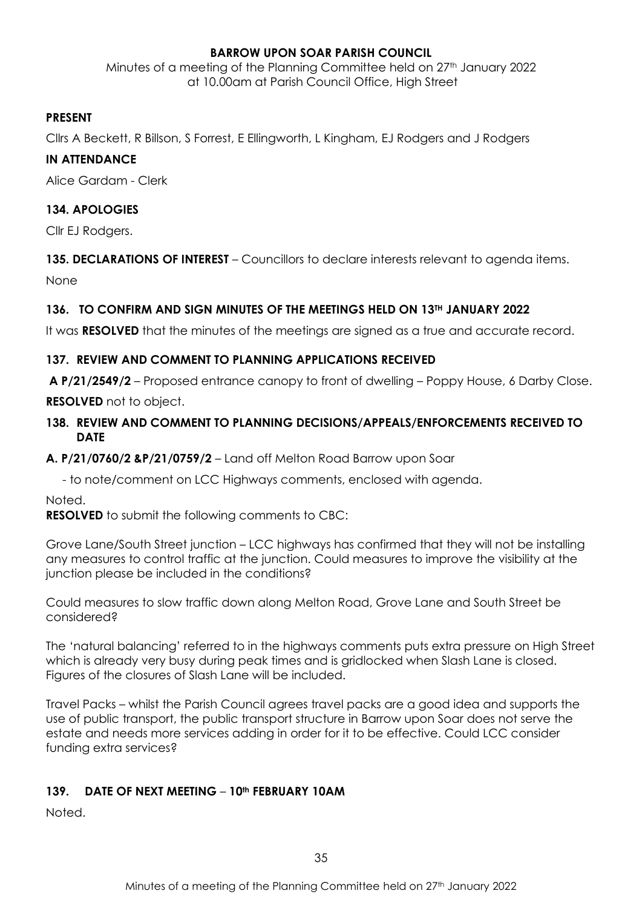### **BARROW UPON SOAR PARISH COUNCIL**

Minutes of a meeting of the Planning Committee held on 27<sup>th</sup> January 2022 at 10.00am at Parish Council Office, High Street

#### **PRESENT**

Cllrs A Beckett, R Billson, S Forrest, E Ellingworth, L Kingham, EJ Rodgers and J Rodgers

#### **IN ATTENDANCE**

Alice Gardam - Clerk

### **134. APOLOGIES**

Cllr EJ Rodgers.

# **135. DECLARATIONS OF INTEREST** – Councillors to declare interests relevant to agenda items.

None

# **136. TO CONFIRM AND SIGN MINUTES OF THE MEETINGS HELD ON 13TH JANUARY 2022**

It was **RESOLVED** that the minutes of the meetings are signed as a true and accurate record.

# **137. REVIEW AND COMMENT TO PLANNING APPLICATIONS RECEIVED**

**A P/21/2549/2** – Proposed entrance canopy to front of dwelling – Poppy House, 6 Darby Close.

**RESOLVED** not to object.

### **138. REVIEW AND COMMENT TO PLANNING DECISIONS/APPEALS/ENFORCEMENTS RECEIVED TO DATE**

**A. P/21/0760/2 &P/21/0759/2** – Land off Melton Road Barrow upon Soar

- to note/comment on LCC Highways comments, enclosed with agenda.

Noted.

**RESOLVED** to submit the following comments to CBC:

Grove Lane/South Street junction – LCC highways has confirmed that they will not be installing any measures to control traffic at the junction. Could measures to improve the visibility at the junction please be included in the conditions?

Could measures to slow traffic down along Melton Road, Grove Lane and South Street be considered?

The 'natural balancing' referred to in the highways comments puts extra pressure on High Street which is already very busy during peak times and is gridlocked when Slash Lane is closed. Figures of the closures of Slash Lane will be included.

Travel Packs – whilst the Parish Council agrees travel packs are a good idea and supports the use of public transport, the public transport structure in Barrow upon Soar does not serve the estate and needs more services adding in order for it to be effective. Could LCC consider funding extra services?

### **139. DATE OF NEXT MEETING** – **10th FEBRUARY 10AM**

Noted.